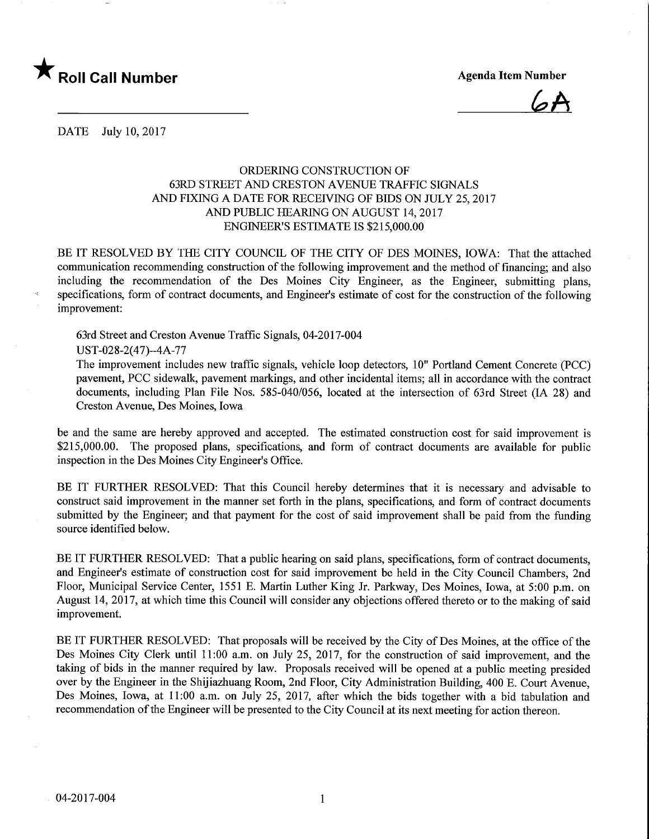

 $\mathcal{A}$ 

DATE July 10, 2017

## ORDERING CONSTRUCTION OF 63RD STREET AND CRESTON AVENUE TRAFFIC SIGNALS AND FIXING A DATE FOR RECEIVING OF BIDS ON JULY 25, 2017 AND PUBLIC HEARING ON AUGUST 14, 2017 ENGINEER'S ESTIMATE IS \$215,000.00

BE IT RESOLVED BY THE CITY COUNCIL OF THE CITY OF DES MOINES, IOWA: That the attached communication recommending construction of the following improvement and the method of financing; and also including the recommendation of the Des Moines City Engineer, as the Engineer, submitting plans, specifications, form of contract documents, and Engineer's estimate of cost for the construction of the following improvement:

63rd Street and Creston Avenue Traffic Signals, 04-2017-004

UST-028-2(47)-4A-77

The improvement includes new traffic signals, vehicle loop detectors, 10" Portland Cement Concrete (PCC) pavement, PCC sidewalk, pavement markings, and other incidental items; all in accordance with the contract documents, including Plan File Nos. 585-040/056, located at the intersection of 63rd Street (IA 28) and Creston Avenue, Des Moines, Iowa

be and the same are hereby approved and accepted. The estimated construction cost for said improvement is \$215,000.00. The proposed plans, specifications, and form of contract documents are available for public inspection in the Des Moines City Engineer's Office.

BE IT FURTHER RESOLVED: That this Council hereby determines that it is necessary and advisable to construct said improvement in the manner set forth in the plans, specifications, and form of contract documents submitted by the Engineer; and that payment for the cost of said improvement shall be paid from the funding source identified below.

BE IT FURTHER RESOLVED: That a public hearing on said plans, specifications, form of contract documents, and Engineer's estimate of construction cost for said improvement be held in the City Council Chambers, 2nd Floor, Municipal Service Center, 1551 E. Martin Luther King Jr. Parkway, Des Moines, Iowa, at 5:00 p.m. on August 14, 2017, at which time this Council will consider any objections offered thereto or to the making of said improvement.

BE IT FURTHER RESOLVED: That proposals will be received by the City of Des Moines, at the office of the Des Moines City Clerk until 11:00 a.m. on July 25, 2017, for the construction of said improvement, and the taking of bids in the manner required by law. Proposals received will be opened at a public meeting presided over by the Engineer in the Shijiazhuang Room, 2nd Floor, City Administration Building, 400 E. Court Avenue, Des Moines, Iowa, at 11:00 a.m. on July 25, 2017, after which the bids together with a bid tabulation and recommendation of the Engineer will be presented to the City Council at its next meeting for action thereon.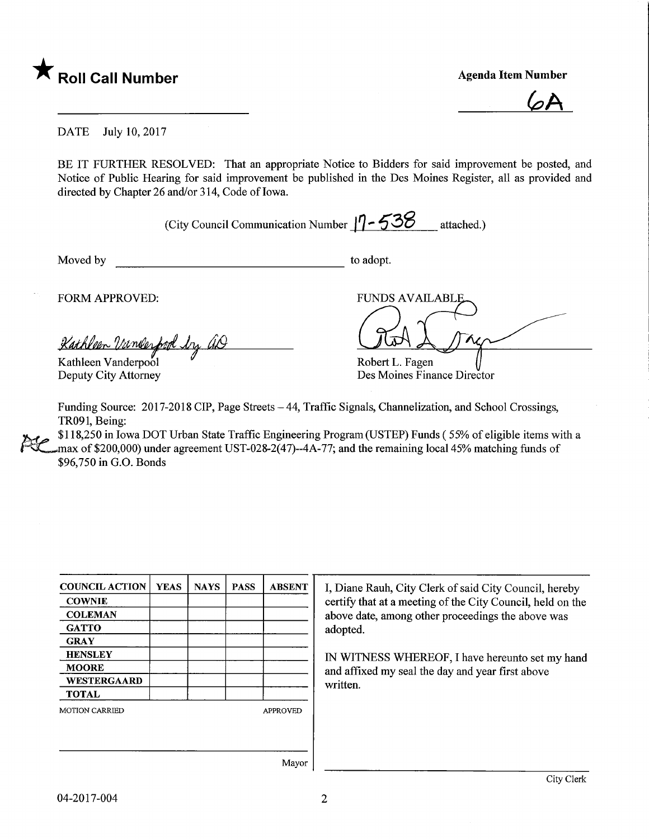

 $\overline{\mathcal{A}}$ 

DATE July 10, 2017

BE IT FURTHER RESOLVED: That an appropriate Notice to Bidders for said improvement be posted, and Notice of Public Hearing for said improvement be published in the Des Moines Register, all as provided and directed by Chapter 26 and/or 314, Code of Iowa.

(City Council Communication Number  $17 - 538$  attached.)

Moved by to adopt.

FORM APPROVED:

<u>Kathleen Vame</u>  $\overline{\mathcal{L}}$ 

Kathleen Vanderpool Deputy City Attorney

FUNDS AVAILABL

Robert L. Fagen Des Moines Finance Director

Funding Source: 2017-2018 CIP, Page Streets -44, Traffic Signals, Channelization, and School Crossings, TR091, Being:

\$118,250 in Iowa DOT Urban State Traffic Engineering Program (USTEP) Funds ( 55% of eligible items with a max of \$200,000) under agreement UST-028-2(47)--4A-77; and the remaining local 45% matching funds of \$96,750 in G.O. Bonds

| <b>COUNCIL ACTION</b> | <b>YEAS</b> | <b>NAYS</b> | <b>PASS</b>     | <b>ABSENT</b> |
|-----------------------|-------------|-------------|-----------------|---------------|
| <b>COWNIE</b>         |             |             |                 |               |
| <b>COLEMAN</b>        |             |             |                 |               |
| <b>GATTO</b>          |             |             |                 |               |
| <b>GRAY</b>           |             |             |                 |               |
| <b>HENSLEY</b>        |             |             |                 |               |
| <b>MOORE</b>          |             |             |                 |               |
| WESTERGAARD           |             |             |                 |               |
| <b>TOTAL</b>          |             |             |                 |               |
| <b>MOTION CARRIED</b> |             |             | <b>APPROVED</b> |               |
|                       |             |             |                 |               |
|                       |             |             |                 |               |
|                       |             |             |                 |               |

I, Diane Rauh, City Clerk of said City Council, hereby certify that at a meeting of the City Council, held on the above date, among other proceedings the above was adopted.

IN WITNESS WHEREOF, I have hereunto set my hand and affixed my seal the day and year first above written.

Mayor